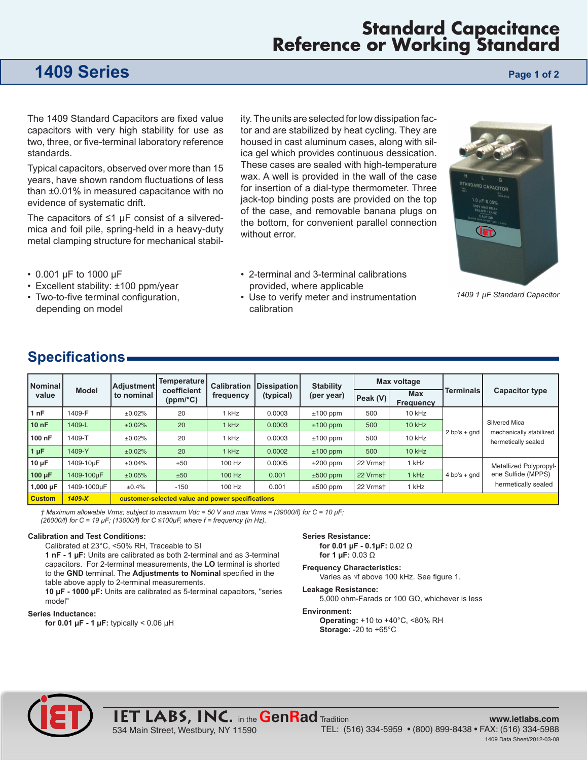## **Standard Capacitance Reference or Working Standard**

## **1409 Series Page 1 of 2 Page 1 of 2**

The 1409 Standard Capacitors are fixed value capacitors with very high stability for use as two, three, or five-terminal laboratory reference standards.

Typical capacitors, observed over more than 15 years, have shown random fluctuations of less than ±0.01% in measured capacitance with no evidence of systematic drift.

The capacitors of ≤1 µF consist of a silveredmica and foil pile, spring-held in a heavy-duty metal clamping structure for mechanical stability. The units are selected for low dissipation factor and are stabilized by heat cycling. They are housed in cast aluminum cases, along with silica gel which provides continuous dessication. These cases are sealed with high-temperature wax. A well is provided in the wall of the case for insertion of a dial-type thermometer. Three jack-top binding posts are provided on the top of the case, and removable banana plugs on the bottom, for convenient parallel connection without error.

- 2-terminal and 3-terminal calibrations
- **LET**

*1409 1 µF Standard Capacitor*

- 0.001 µF to 1000 µF
- Excellent stability: ±100 ppm/year
- Two-to-five terminal configuration, depending on model
- provided, where applicable • Use to verify meter and instrumentation

### **Specifications**

| Nominal<br>value | <b>Model</b> | Adjustment<br>to nominal                         | Temperature  <br>coefficient<br>(ppm/°C) | <b>Calibration</b><br>frequency | Dissipation<br>(typical) | <b>Stability</b><br>(per year) | Max voltage    |                         |                  |                                                                     |
|------------------|--------------|--------------------------------------------------|------------------------------------------|---------------------------------|--------------------------|--------------------------------|----------------|-------------------------|------------------|---------------------------------------------------------------------|
|                  |              |                                                  |                                          |                                 |                          |                                | $ $ Peak $(V)$ | <b>Max</b><br>Frequency | <b>Terminals</b> | <b>Capacitor type</b>                                               |
| 1nF              | 1409-F       | ±0.02%                                           | 20                                       | kHz                             | 0.0003                   | $±100$ ppm                     | 500            | 10 kHz                  | $2 bp's + qnd$   | Silvered Mica<br>mechanically stabilized<br>hermetically sealed     |
| 10nF             | 1409-L       | ±0.02%                                           | 20                                       | 1 kHz                           | 0.0003                   | $±100$ ppm                     | 500            | $10$ kHz                |                  |                                                                     |
| 100 nF           | 1409-T       | ±0.02%                                           | 20                                       | kHz                             | 0.0003                   | $±100$ ppm                     | 500            | 10 kHz                  |                  |                                                                     |
| $1 \mu F$        | 1409-Y       | ±0.02%                                           | 20                                       | $1$ kHz                         | 0.0002                   | $±100$ ppm                     | 500            | $10$ kHz                |                  |                                                                     |
| $10 \mu F$       | 1409-10µF    | ±0.04%                                           | ±50                                      | 100 Hz                          | 0.0005                   | $\pm 200$ ppm                  | 22 Vrmst       | 1 kHz                   | $4 bp's + qnd$   | Metallized Polypropyl-<br>ene Sulfide (MPPS)<br>hermetically sealed |
| 100 µF           | 1409-100uF   | ±0.05%                                           | ±50                                      | 100 Hz                          | 0.001                    | $±500$ ppm                     | 22 Vrmst       | 1 kHz                   |                  |                                                                     |
| 1,000 $\mu$ F    | 1409-1000uF  | $\pm 0.4\%$                                      | $-150$                                   | 100 Hz                          | 0.001                    | $\pm 500$ ppm                  | 22 Vrmst       | 1 kHz                   |                  |                                                                     |
| <b>Custom</b>    | $1409-X$     | customer-selected value and power specifications |                                          |                                 |                          |                                |                |                         |                  |                                                                     |

calibration

*† Maximum allowable Vrms; subject to maximum Vdc = 50 V and max Vrms = (39000/f) for C = 10 µF;*

*(26000/f) for C = 19 µF; (13000/f) for C ≤100µF, where f = frequency (in Hz).*

#### **Calibration and Test Conditions:**

Calibrated at 23°C, <50% RH, Traceable to SI **1 nF - 1 µF:** Units are calibrated as both 2-terminal and as 3-terminal capacitors. For 2-terminal measurements, the **LO** terminal is shorted to the **GND** terminal. The **Adjustments to Nominal** specified in the table above apply to 2-terminal measurements.

**10 µF - 1000 µF:** Units are calibrated as 5-terminal capacitors, "series model"

534 Main Street, Westbury, NY 11590

#### **Series Inductance:**

**for 0.01 µF - 1 µF:** typically < 0.06 µH

#### **Series Resistance:**

**for 0.01 µF - 0.1µF:** 0.02 Ω **for 1 µF:** 0.03 Ω

#### **Frequency Characteristics:**

Varies as √f above 100 kHz. See figure 1.

### **Leakage Resistance:**

5,000 ohm-Farads or 100 GΩ, whichever is less

#### **Environment:**

**Operating:** +10 to +40°C, <80% RH **Storage:** -20 to +65°C